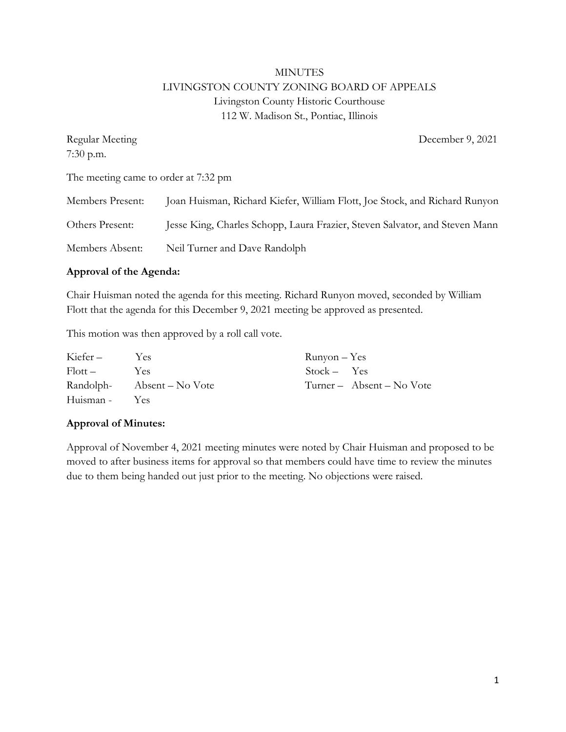# MINUTES LIVINGSTON COUNTY ZONING BOARD OF APPEALS Livingston County Historic Courthouse 112 W. Madison St., Pontiac, Illinois

| Regular Meeting                      | December 9, 2021                                                            |
|--------------------------------------|-----------------------------------------------------------------------------|
| $7:30$ p.m.                          |                                                                             |
| The meeting came to order at 7:32 pm |                                                                             |
| Members Present:                     | Joan Huisman, Richard Kiefer, William Flott, Joe Stock, and Richard Runyon  |
| Others Present:                      | Jesse King, Charles Schopp, Laura Frazier, Steven Salvator, and Steven Mann |
| Members Absent:                      | Neil Turner and Dave Randolph                                               |

# **Approval of the Agenda:**

Chair Huisman noted the agenda for this meeting. Richard Runyon moved, seconded by William Flott that the agenda for this December 9, 2021 meeting be approved as presented.

This motion was then approved by a roll call vote.

| Kiefer –      | Yes.                       | $Runyon - Yes$ |                           |
|---------------|----------------------------|----------------|---------------------------|
| $Flott -$     | Yes                        | $Stock - Yes$  |                           |
|               | Randolph- Absent – No Vote |                | Turner – Absent – No Vote |
| Huisman - Yes |                            |                |                           |

#### **Approval of Minutes:**

Approval of November 4, 2021 meeting minutes were noted by Chair Huisman and proposed to be moved to after business items for approval so that members could have time to review the minutes due to them being handed out just prior to the meeting. No objections were raised.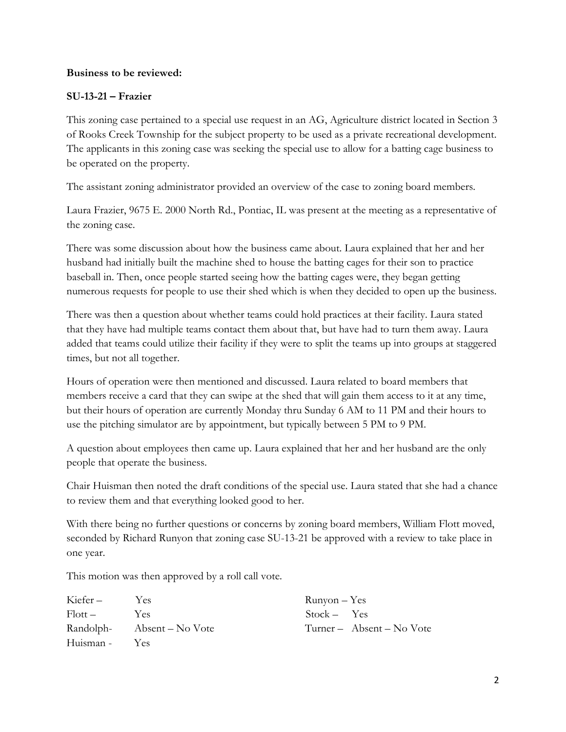#### **Business to be reviewed:**

# **SU-13-21 – Frazier**

This zoning case pertained to a special use request in an AG, Agriculture district located in Section 3 of Rooks Creek Township for the subject property to be used as a private recreational development. The applicants in this zoning case was seeking the special use to allow for a batting cage business to be operated on the property.

The assistant zoning administrator provided an overview of the case to zoning board members.

Laura Frazier, 9675 E. 2000 North Rd., Pontiac, IL was present at the meeting as a representative of the zoning case.

There was some discussion about how the business came about. Laura explained that her and her husband had initially built the machine shed to house the batting cages for their son to practice baseball in. Then, once people started seeing how the batting cages were, they began getting numerous requests for people to use their shed which is when they decided to open up the business.

There was then a question about whether teams could hold practices at their facility. Laura stated that they have had multiple teams contact them about that, but have had to turn them away. Laura added that teams could utilize their facility if they were to split the teams up into groups at staggered times, but not all together.

Hours of operation were then mentioned and discussed. Laura related to board members that members receive a card that they can swipe at the shed that will gain them access to it at any time, but their hours of operation are currently Monday thru Sunday 6 AM to 11 PM and their hours to use the pitching simulator are by appointment, but typically between 5 PM to 9 PM.

A question about employees then came up. Laura explained that her and her husband are the only people that operate the business.

Chair Huisman then noted the draft conditions of the special use. Laura stated that she had a chance to review them and that everything looked good to her.

With there being no further questions or concerns by zoning board members, William Flott moved, seconded by Richard Runyon that zoning case SU-13-21 be approved with a review to take place in one year.

This motion was then approved by a roll call vote.

| Kiefer –  | <b>Yes</b>                 | $Runyon - Yes$ |                           |
|-----------|----------------------------|----------------|---------------------------|
| Flott –   | Yes                        | $Stock - Yes$  |                           |
|           | Randolph- Absent – No Vote |                | Turner – Absent – No Vote |
| Huisman - | <b>Yes</b>                 |                |                           |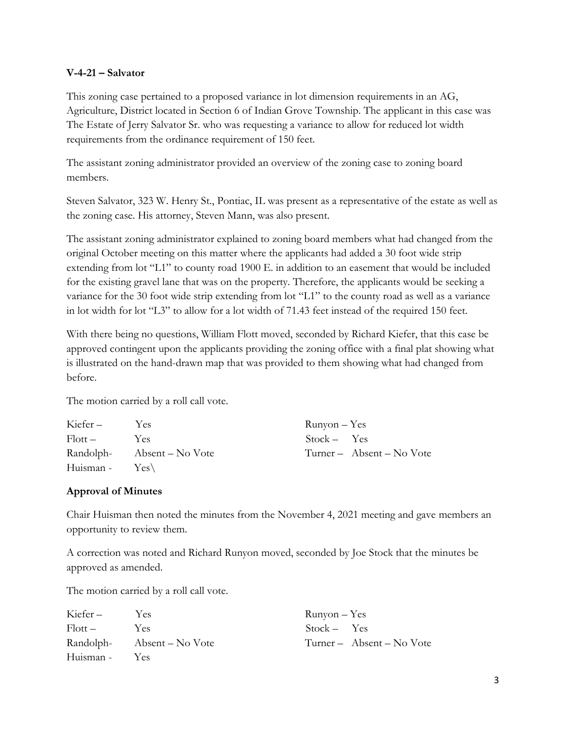#### **V-4-21 – Salvator**

This zoning case pertained to a proposed variance in lot dimension requirements in an AG, Agriculture, District located in Section 6 of Indian Grove Township. The applicant in this case was The Estate of Jerry Salvator Sr. who was requesting a variance to allow for reduced lot width requirements from the ordinance requirement of 150 feet.

The assistant zoning administrator provided an overview of the zoning case to zoning board members.

Steven Salvator, 323 W. Henry St., Pontiac, IL was present as a representative of the estate as well as the zoning case. His attorney, Steven Mann, was also present.

The assistant zoning administrator explained to zoning board members what had changed from the original October meeting on this matter where the applicants had added a 30 foot wide strip extending from lot "L1" to county road 1900 E. in addition to an easement that would be included for the existing gravel lane that was on the property. Therefore, the applicants would be seeking a variance for the 30 foot wide strip extending from lot "L1" to the county road as well as a variance in lot width for lot "L3" to allow for a lot width of 71.43 feet instead of the required 150 feet.

With there being no questions, William Flott moved, seconded by Richard Kiefer, that this case be approved contingent upon the applicants providing the zoning office with a final plat showing what is illustrated on the hand-drawn map that was provided to them showing what had changed from before.

The motion carried by a roll call vote.

| Kiefer –                  | Yes                        | $Runyon - Yes$ |                           |
|---------------------------|----------------------------|----------------|---------------------------|
| $F_{\rm l}$ ott –         | Yes                        | $Stock - Yes$  |                           |
|                           | Randolph- Absent – No Vote |                | Turner – Absent – No Vote |
| Huisman - $Yes\backslash$ |                            |                |                           |

#### **Approval of Minutes**

Chair Huisman then noted the minutes from the November 4, 2021 meeting and gave members an opportunity to review them.

A correction was noted and Richard Runyon moved, seconded by Joe Stock that the minutes be approved as amended.

The motion carried by a roll call vote.

| Kiefer –      | Yes.                       | $Runyon - Yes$ |                           |
|---------------|----------------------------|----------------|---------------------------|
| $Flott -$     | Yes                        | $Stock - Yes$  |                           |
|               | Randolph- Absent – No Vote |                | Turner – Absent – No Vote |
| Huisman - Yes |                            |                |                           |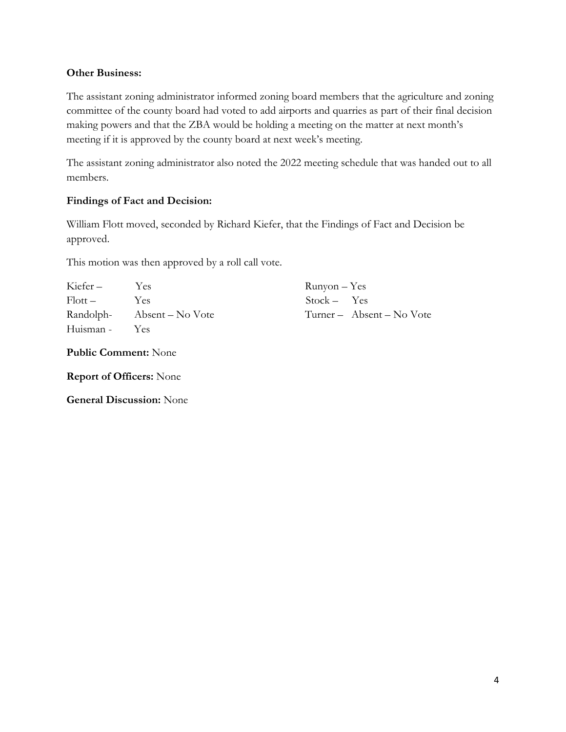# **Other Business:**

The assistant zoning administrator informed zoning board members that the agriculture and zoning committee of the county board had voted to add airports and quarries as part of their final decision making powers and that the ZBA would be holding a meeting on the matter at next month's meeting if it is approved by the county board at next week's meeting.

The assistant zoning administrator also noted the 2022 meeting schedule that was handed out to all members.

# **Findings of Fact and Decision:**

William Flott moved, seconded by Richard Kiefer, that the Findings of Fact and Decision be approved.

This motion was then approved by a roll call vote.

| Kiefer –            | Yes                        | $Runyon - Yes$ |                           |
|---------------------|----------------------------|----------------|---------------------------|
| $F _{\text{Ott}} =$ | Yes.                       | $Stock - Yes$  |                           |
|                     | Randolph- Absent – No Vote |                | Turner – Absent – No Vote |
| Huisman -           | <b>Yes</b>                 |                |                           |

**Public Comment:** None

**Report of Officers:** None

**General Discussion:** None